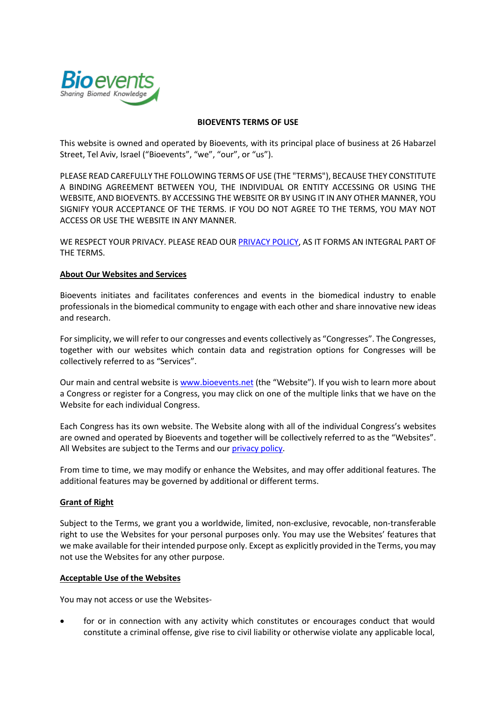

### **BIOEVENTS TERMS OF USE**

This website is owned and operated by Bioevents, with its principal place of business at 26 Habarzel Street, Tel Aviv, Israel ("Bioevents", "we", "our", or "us").

PLEASE READ CAREFULLY THE FOLLOWING TERMS OF USE (THE "TERMS"), BECAUSE THEY CONSTITUTE A BINDING AGREEMENT BETWEEN YOU, THE INDIVIDUAL OR ENTITY ACCESSING OR USING THE WEBSITE, AND BIOEVENTS. BY ACCESSING THE WEBSITE OR BY USING IT IN ANY OTHER MANNER, YOU SIGNIFY YOUR ACCEPTANCE OF THE TERMS. IF YOU DO NOT AGREE TO THE TERMS, YOU MAY NOT ACCESS OR USE THE WEBSITE IN ANY MANNER.

WE RESPECT YOUR PRIVACY. PLEASE READ OUR [PRIVACY POLICY,](http://attwc2019.sitestudio.co.il/Sites/510/Editor/Documents/Bioevents%20Privacy%20Policy%2021NOV2018.pdf) AS IT FORMS AN INTEGRAL PART OF THE TERMS.

## **About Our Websites and Services**

Bioevents initiates and facilitates conferences and events in the biomedical industry to enable professionals in the biomedical community to engage with each other and share innovative new ideas and research.

For simplicity, we will refer to our congresses and events collectively as "Congresses". The Congresses, together with our websites which contain data and registration options for Congresses will be collectively referred to as "Services".

Our main and central website is [www.bioevents.net](http://www.bioevents.net/) (the "Website"). If you wish to learn more about a Congress or register for a Congress, you may click on one of the multiple links that we have on the Website for each individual Congress.

Each Congress has its own website. The Website along with all of the individual Congress's websites are owned and operated by Bioevents and together will be collectively referred to as the "Websites". All Websites are subject to the Terms and our [privacy policy.](http://attwc2019.sitestudio.co.il/Sites/510/Editor/Documents/Bioevents%20Privacy%20Policy%2021NOV2018.pdf)

From time to time, we may modify or enhance the Websites, and may offer additional features. The additional features may be governed by additional or different terms.

## **Grant of Right**

Subject to the Terms, we grant you a worldwide, limited, non-exclusive, revocable, non-transferable right to use the Websites for your personal purposes only. You may use the Websites' features that we make available for their intended purpose only. Except as explicitly provided in the Terms, you may not use the Websites for any other purpose.

## **Acceptable Use of the Websites**

You may not access or use the Websites-

 for or in connection with any activity which constitutes or encourages conduct that would constitute a criminal offense, give rise to civil liability or otherwise violate any applicable local,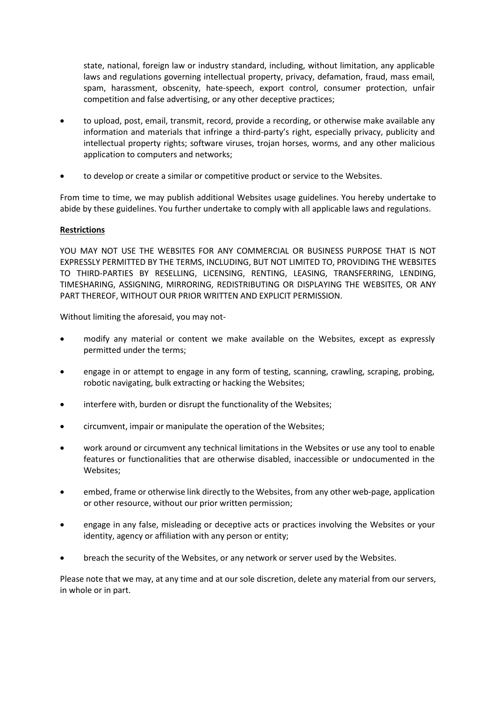state, national, foreign law or industry standard, including, without limitation, any applicable laws and regulations governing intellectual property, privacy, defamation, fraud, mass email, spam, harassment, obscenity, hate-speech, export control, consumer protection, unfair competition and false advertising, or any other deceptive practices;

- to upload, post, email, transmit, record, provide a recording, or otherwise make available any information and materials that infringe a third-party's right, especially privacy, publicity and intellectual property rights; software viruses, trojan horses, worms, and any other malicious application to computers and networks;
- to develop or create a similar or competitive product or service to the Websites.

From time to time, we may publish additional Websites usage guidelines. You hereby undertake to abide by these guidelines. You further undertake to comply with all applicable laws and regulations.

# **Restrictions**

YOU MAY NOT USE THE WEBSITES FOR ANY COMMERCIAL OR BUSINESS PURPOSE THAT IS NOT EXPRESSLY PERMITTED BY THE TERMS, INCLUDING, BUT NOT LIMITED TO, PROVIDING THE WEBSITES TO THIRD-PARTIES BY RESELLING, LICENSING, RENTING, LEASING, TRANSFERRING, LENDING, TIMESHARING, ASSIGNING, MIRRORING, REDISTRIBUTING OR DISPLAYING THE WEBSITES, OR ANY PART THEREOF, WITHOUT OUR PRIOR WRITTEN AND EXPLICIT PERMISSION.

Without limiting the aforesaid, you may not-

- modify any material or content we make available on the Websites, except as expressly permitted under the terms;
- engage in or attempt to engage in any form of testing, scanning, crawling, scraping, probing, robotic navigating, bulk extracting or hacking the Websites;
- interfere with, burden or disrupt the functionality of the Websites;
- circumvent, impair or manipulate the operation of the Websites;
- work around or circumvent any technical limitations in the Websites or use any tool to enable features or functionalities that are otherwise disabled, inaccessible or undocumented in the Websites;
- embed, frame or otherwise link directly to the Websites, from any other web-page, application or other resource, without our prior written permission;
- engage in any false, misleading or deceptive acts or practices involving the Websites or your identity, agency or affiliation with any person or entity;
- breach the security of the Websites, or any network or server used by the Websites.

Please note that we may, at any time and at our sole discretion, delete any material from our servers, in whole or in part.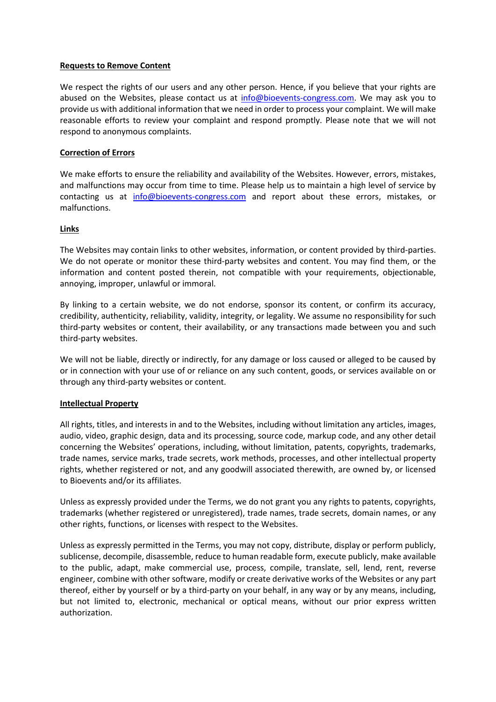### **Requests to Remove Content**

We respect the rights of our users and any other person. Hence, if you believe that your rights are abused on the Websites, please contact us at [info@bioevents-congress.com.](mailto:info@bioevents-congress.com) We may ask you to provide us with additional information that we need in order to process your complaint. We will make reasonable efforts to review your complaint and respond promptly. Please note that we will not respond to anonymous complaints.

## **Correction of Errors**

We make efforts to ensure the reliability and availability of the Websites. However, errors, mistakes, and malfunctions may occur from time to time. Please help us to maintain a high level of service by contacting us at [info@bioevents-congress.com](mailto:info@bioevents-congress.com) and report about these errors, mistakes, or malfunctions.

## **Links**

The Websites may contain links to other websites, information, or content provided by third-parties. We do not operate or monitor these third-party websites and content. You may find them, or the information and content posted therein, not compatible with your requirements, objectionable, annoying, improper, unlawful or immoral.

By linking to a certain website, we do not endorse, sponsor its content, or confirm its accuracy, credibility, authenticity, reliability, validity, integrity, or legality. We assume no responsibility for such third-party websites or content, their availability, or any transactions made between you and such third-party websites.

We will not be liable, directly or indirectly, for any damage or loss caused or alleged to be caused by or in connection with your use of or reliance on any such content, goods, or services available on or through any third-party websites or content.

## **Intellectual Property**

All rights, titles, and interests in and to the Websites, including without limitation any articles, images, audio, video, graphic design, data and its processing, source code, markup code, and any other detail concerning the Websites' operations, including, without limitation, patents, copyrights, trademarks, trade names, service marks, trade secrets, work methods, processes, and other intellectual property rights, whether registered or not, and any goodwill associated therewith, are owned by, or licensed to Bioevents and/or its affiliates.

Unless as expressly provided under the Terms, we do not grant you any rights to patents, copyrights, trademarks (whether registered or unregistered), trade names, trade secrets, domain names, or any other rights, functions, or licenses with respect to the Websites.

Unless as expressly permitted in the Terms, you may not copy, distribute, display or perform publicly, sublicense, decompile, disassemble, reduce to human readable form, execute publicly, make available to the public, adapt, make commercial use, process, compile, translate, sell, lend, rent, reverse engineer, combine with other software, modify or create derivative works of the Websites or any part thereof, either by yourself or by a third-party on your behalf, in any way or by any means, including, but not limited to, electronic, mechanical or optical means, without our prior express written authorization.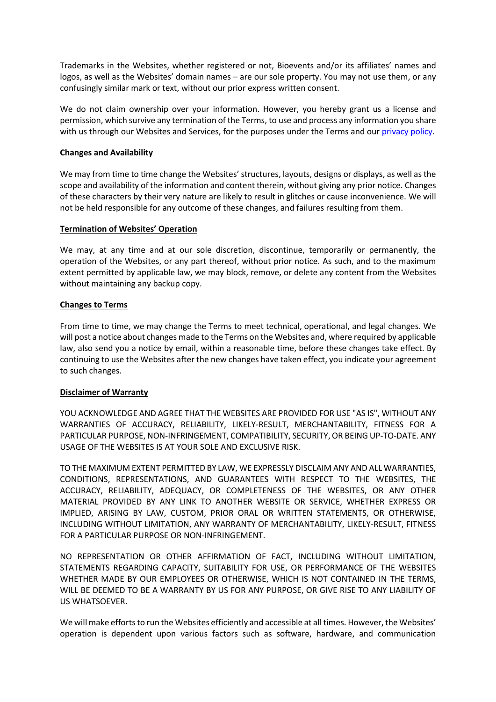Trademarks in the Websites, whether registered or not, Bioevents and/or its affiliates' names and logos, as well as the Websites' domain names – are our sole property. You may not use them, or any confusingly similar mark or text, without our prior express written consent.

We do not claim ownership over your information. However, you hereby grant us a license and permission, which survive any termination of the Terms, to use and process any information you share with us through our Websites and Services, for the purposes under the Terms and our [privacy policy.](http://attwc2019.sitestudio.co.il/Sites/510/Editor/Documents/Bioevents%20Privacy%20Policy%2021NOV2018.pdf)

## **Changes and Availability**

We may from time to time change the Websites' structures, layouts, designs or displays, as well as the scope and availability of the information and content therein, without giving any prior notice. Changes of these characters by their very nature are likely to result in glitches or cause inconvenience. We will not be held responsible for any outcome of these changes, and failures resulting from them.

# **Termination of Websites' Operation**

We may, at any time and at our sole discretion, discontinue, temporarily or permanently, the operation of the Websites, or any part thereof, without prior notice. As such, and to the maximum extent permitted by applicable law, we may block, remove, or delete any content from the Websites without maintaining any backup copy.

# **Changes to Terms**

From time to time, we may change the Terms to meet technical, operational, and legal changes. We will post a notice about changes made to the Terms on the Websites and, where required by applicable law, also send you a notice by email, within a reasonable time, before these changes take effect. By continuing to use the Websites after the new changes have taken effect, you indicate your agreement to such changes.

## **Disclaimer of Warranty**

YOU ACKNOWLEDGE AND AGREE THAT THE WEBSITES ARE PROVIDED FOR USE "AS IS", WITHOUT ANY WARRANTIES OF ACCURACY, RELIABILITY, LIKELY-RESULT, MERCHANTABILITY, FITNESS FOR A PARTICULAR PURPOSE, NON-INFRINGEMENT, COMPATIBILITY, SECURITY, OR BEING UP-TO-DATE. ANY USAGE OF THE WEBSITES IS AT YOUR SOLE AND EXCLUSIVE RISK.

TO THE MAXIMUM EXTENT PERMITTED BY LAW, WE EXPRESSLY DISCLAIM ANY AND ALL WARRANTIES, CONDITIONS, REPRESENTATIONS, AND GUARANTEES WITH RESPECT TO THE WEBSITES, THE ACCURACY, RELIABILITY, ADEQUACY, OR COMPLETENESS OF THE WEBSITES, OR ANY OTHER MATERIAL PROVIDED BY ANY LINK TO ANOTHER WEBSITE OR SERVICE, WHETHER EXPRESS OR IMPLIED, ARISING BY LAW, CUSTOM, PRIOR ORAL OR WRITTEN STATEMENTS, OR OTHERWISE, INCLUDING WITHOUT LIMITATION, ANY WARRANTY OF MERCHANTABILITY, LIKELY-RESULT, FITNESS FOR A PARTICULAR PURPOSE OR NON-INFRINGEMENT.

NO REPRESENTATION OR OTHER AFFIRMATION OF FACT, INCLUDING WITHOUT LIMITATION, STATEMENTS REGARDING CAPACITY, SUITABILITY FOR USE, OR PERFORMANCE OF THE WEBSITES WHETHER MADE BY OUR EMPLOYEES OR OTHERWISE, WHICH IS NOT CONTAINED IN THE TERMS, WILL BE DEEMED TO BE A WARRANTY BY US FOR ANY PURPOSE, OR GIVE RISE TO ANY LIABILITY OF US WHATSOEVER.

We will make efforts to run the Websites efficiently and accessible at all times. However, the Websites' operation is dependent upon various factors such as software, hardware, and communication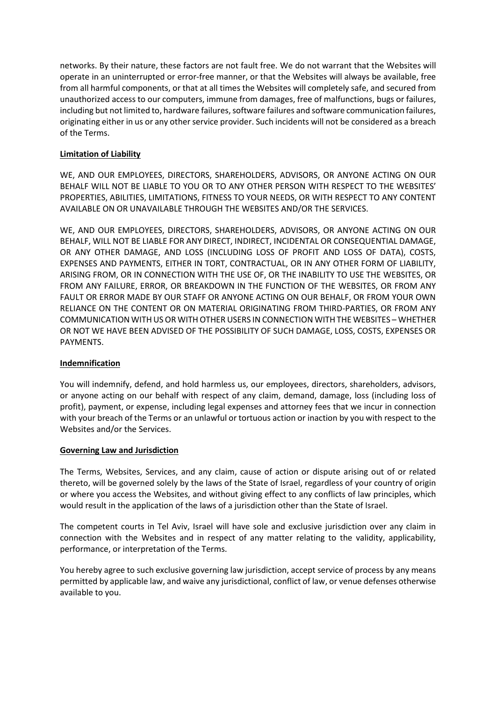networks. By their nature, these factors are not fault free. We do not warrant that the Websites will operate in an uninterrupted or error-free manner, or that the Websites will always be available, free from all harmful components, or that at all times the Websites will completely safe, and secured from unauthorized access to our computers, immune from damages, free of malfunctions, bugs or failures, including but not limited to, hardware failures, software failures and software communication failures, originating either in us or any other service provider. Such incidents will not be considered as a breach of the Terms.

# **Limitation of Liability**

WE, AND OUR EMPLOYEES, DIRECTORS, SHAREHOLDERS, ADVISORS, OR ANYONE ACTING ON OUR BEHALF WILL NOT BE LIABLE TO YOU OR TO ANY OTHER PERSON WITH RESPECT TO THE WEBSITES' PROPERTIES, ABILITIES, LIMITATIONS, FITNESS TO YOUR NEEDS, OR WITH RESPECT TO ANY CONTENT AVAILABLE ON OR UNAVAILABLE THROUGH THE WEBSITES AND/OR THE SERVICES.

WE, AND OUR EMPLOYEES, DIRECTORS, SHAREHOLDERS, ADVISORS, OR ANYONE ACTING ON OUR BEHALF, WILL NOT BE LIABLE FOR ANY DIRECT, INDIRECT, INCIDENTAL OR CONSEQUENTIAL DAMAGE, OR ANY OTHER DAMAGE, AND LOSS (INCLUDING LOSS OF PROFIT AND LOSS OF DATA), COSTS, EXPENSES AND PAYMENTS, EITHER IN TORT, CONTRACTUAL, OR IN ANY OTHER FORM OF LIABILITY, ARISING FROM, OR IN CONNECTION WITH THE USE OF, OR THE INABILITY TO USE THE WEBSITES, OR FROM ANY FAILURE, ERROR, OR BREAKDOWN IN THE FUNCTION OF THE WEBSITES, OR FROM ANY FAULT OR ERROR MADE BY OUR STAFF OR ANYONE ACTING ON OUR BEHALF, OR FROM YOUR OWN RELIANCE ON THE CONTENT OR ON MATERIAL ORIGINATING FROM THIRD-PARTIES, OR FROM ANY COMMUNICATION WITH US OR WITH OTHER USERS IN CONNECTION WITH THE WEBSITES – WHETHER OR NOT WE HAVE BEEN ADVISED OF THE POSSIBILITY OF SUCH DAMAGE, LOSS, COSTS, EXPENSES OR PAYMENTS.

## **Indemnification**

You will indemnify, defend, and hold harmless us, our employees, directors, shareholders, advisors, or anyone acting on our behalf with respect of any claim, demand, damage, loss (including loss of profit), payment, or expense, including legal expenses and attorney fees that we incur in connection with your breach of the Terms or an unlawful or tortuous action or inaction by you with respect to the Websites and/or the Services.

## **Governing Law and Jurisdiction**

The Terms, Websites, Services, and any claim, cause of action or dispute arising out of or related thereto, will be governed solely by the laws of the State of Israel, regardless of your country of origin or where you access the Websites, and without giving effect to any conflicts of law principles, which would result in the application of the laws of a jurisdiction other than the State of Israel.

The competent courts in Tel Aviv, Israel will have sole and exclusive jurisdiction over any claim in connection with the Websites and in respect of any matter relating to the validity, applicability, performance, or interpretation of the Terms.

You hereby agree to such exclusive governing law jurisdiction, accept service of process by any means permitted by applicable law, and waive any jurisdictional, conflict of law, or venue defenses otherwise available to you.